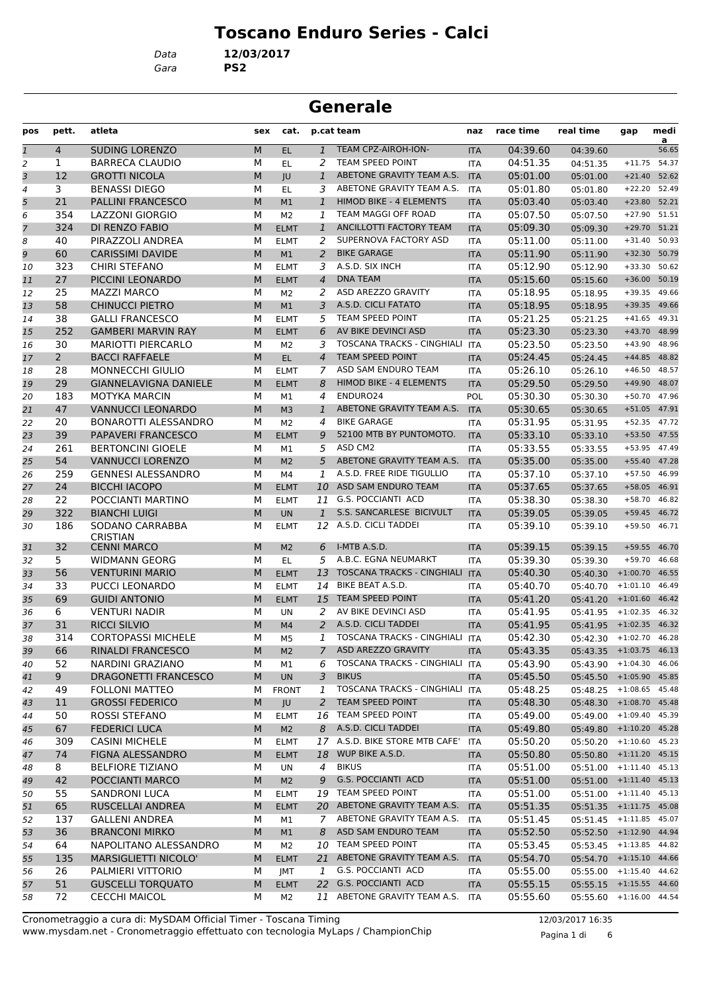# **Toscano Enduro Series - Calci**

*Data* **12/03/2017**

*Gara* **PS2**

# **Generale**

| pos            | pett.          | atleta                                        | sex    | cat.                 |                | p.cat team                                           | naz               | race time            | real time                           | gap                                  | medi<br>a |
|----------------|----------------|-----------------------------------------------|--------|----------------------|----------------|------------------------------------------------------|-------------------|----------------------|-------------------------------------|--------------------------------------|-----------|
| $\mathfrak 1$  | $\overline{4}$ | <b>SUDING LORENZO</b>                         | M      | EL.                  | $\mathbf{1}$   | TEAM CPZ-AIROH-ION-                                  | <b>ITA</b>        | 04:39.60             | 04:39.60                            |                                      | 56.65     |
| $\overline{2}$ | 1              | <b>BARRECA CLAUDIO</b>                        | м      | EL                   | 2              | TEAM SPEED POINT                                     | ITA               | 04:51.35             | 04:51.35                            | $+11.75$                             | 54.37     |
| 3              | 12             | <b>GROTTI NICOLA</b>                          | M      | JU                   | $\mathbf{1}$   | ABETONE GRAVITY TEAM A.S.                            | <b>ITA</b>        | 05:01.00             | 05:01.00                            | $+21.40$ 52.62                       |           |
| $\overline{4}$ | 3              | <b>BENASSI DIEGO</b>                          | М      | EL.                  | 3              | ABETONE GRAVITY TEAM A.S.                            | <b>ITA</b>        | 05:01.80             | 05:01.80                            | $+22.20$                             | 52.49     |
| 5              | 21             | <b>PALLINI FRANCESCO</b>                      | М      | M1                   | $\mathbf{1}$   | HIMOD BIKE - 4 ELEMENTS                              | <b>ITA</b>        | 05:03.40             | 05:03.40                            | +23.80 52.21                         |           |
| 6              | 354            | <b>LAZZONI GIORGIO</b>                        | М      | M <sub>2</sub>       | 1              | TEAM MAGGI OFF ROAD                                  | <b>ITA</b>        | 05:07.50             | 05:07.50                            | +27.90 51.51                         |           |
| $\overline{7}$ | 324            | DI RENZO FABIO                                | M      | <b>ELMT</b>          | $\mathbf{1}$   | ANCILLOTTI FACTORY TEAM                              | <b>ITA</b>        | 05:09.30             | 05:09.30                            | $+29.70$ 51.21                       |           |
| 8              | 40             | PIRAZZOLI ANDREA                              | М      | <b>ELMT</b>          | 2              | SUPERNOVA FACTORY ASD                                | ITA               | 05:11.00             | 05:11.00                            | $+31.40$                             | 50.93     |
| 9              | 60             | <b>CARISSIMI DAVIDE</b>                       | M      | M1                   | $\overline{2}$ | <b>BIKE GARAGE</b>                                   | <b>ITA</b>        | 05:11.90             | 05:11.90                            | +32.30 50.79                         |           |
| 10             | 323            | <b>CHIRI STEFANO</b>                          | М      | <b>ELMT</b>          | 3              | A.S.D. SIX INCH                                      | ITA               | 05:12.90             | 05:12.90                            | $+33.30$                             | 50.62     |
| 11             | 27             | PICCINI LEONARDO                              | М      | <b>ELMT</b>          | 4              | <b>DNA TEAM</b>                                      | <b>ITA</b>        | 05:15.60             | 05:15.60                            | $+36.00$                             | 50.19     |
| 12             | 25             | <b>MAZZI MARCO</b>                            | М      | M <sub>2</sub>       | 2              | ASD AREZZO GRAVITY                                   | <b>ITA</b>        | 05:18.95             | 05:18.95                            | $+39.35$                             | 49.66     |
| 13             | 58             | <b>CHINUCCI PIETRO</b>                        | M      | M1                   | 3              | A.S.D. CICLI FATATO                                  | <b>ITA</b>        | 05:18.95             | 05:18.95                            | +39.35 49.66                         |           |
| 14             | 38             | <b>GALLI FRANCESCO</b>                        | м      | <b>ELMT</b>          | 5              | TEAM SPEED POINT                                     | ITA               | 05:21.25             | 05:21.25                            | $+41.65$ 49.31                       |           |
| 15             | 252            | <b>GAMBERI MARVIN RAY</b>                     | M      | <b>ELMT</b>          | 6              | AV BIKE DEVINCI ASD                                  | <b>ITA</b>        | 05:23.30             | 05:23.30                            | +43.70 48.99                         |           |
| 16             | 30             | <b>MARIOTTI PIERCARLO</b>                     | М      | M <sub>2</sub>       | 3              | TOSCANA TRACKS - CINGHIALI ITA                       |                   | 05:23.50             | 05:23.50                            | $+43.90$                             | 48.96     |
| 17             | $\overline{2}$ | <b>BACCI RAFFAELE</b>                         | M      | EL.                  | $\overline{4}$ | <b>TEAM SPEED POINT</b>                              | <b>ITA</b>        | 05:24.45             | 05:24.45                            | $+44.85$                             | 48.82     |
| 18             | 28             | <b>MONNECCHI GIULIO</b>                       | М      | <b>ELMT</b>          | 7              | ASD SAM ENDURO TEAM                                  | <b>ITA</b>        | 05:26.10             | 05:26.10                            | $+46.50$                             | 48.57     |
| 19             | 29             | <b>GIANNELAVIGNA DANIELE</b>                  | M      | <b>ELMT</b>          | 8              | HIMOD BIKE - 4 ELEMENTS                              | <b>ITA</b>        | 05:29.50             | 05:29.50                            | $+49.90$                             | 48.07     |
| 20             | 183            | <b>MOTYKA MARCIN</b>                          | м      | M1                   | 4              | ENDURO24                                             | POL               | 05:30.30             | 05:30.30                            | $+50.70$                             | 47.96     |
| 21             | 47             | <b>VANNUCCI LEONARDO</b>                      | M      | M <sub>3</sub>       | $\mathbf{1}$   | ABETONE GRAVITY TEAM A.S.                            | <b>ITA</b>        | 05:30.65             | 05:30.65                            | $+51.05$ 47.91                       |           |
| 22             | 20             | <b>BONAROTTI ALESSANDRO</b>                   | М      | M2                   | 4              | <b>BIKE GARAGE</b>                                   | ITA               | 05:31.95             | 05:31.95                            | $+52.35$                             | 47.72     |
| 23             | 39             | PAPAVERI FRANCESCO                            | М      | <b>ELMT</b>          | 9              | 52100 MTB BY PUNTOMOTO.                              | <b>ITA</b>        | 05:33.10             | 05:33.10                            | $+53.50$                             | 47.55     |
| 24             | 261            | <b>BERTONCINI GIOELE</b>                      | М      | M1                   | 5              | ASD CM2                                              | <b>ITA</b>        | 05:33.55             | 05:33.55                            | $+53.95$                             | 47.49     |
| 25             | 54             | <b>VANNUCCI LORENZO</b>                       | M      | M <sub>2</sub>       | 5              | ABETONE GRAVITY TEAM A.S.                            | <b>ITA</b>        | 05:35.00             | 05:35.00                            | +55.40 47.28                         |           |
| 26             | 259            | <b>GENNESI ALESSANDRO</b>                     | м      | M4                   | 1              | A.S.D. FREE RIDE TIGULLIO                            | ITA               | 05:37.10             | 05:37.10                            | $+57.50$                             | 46.99     |
| 27             | 24             | <b>BICCHI IACOPO</b>                          | M      | <b>ELMT</b>          |                | 10 ASD SAM ENDURO TEAM                               | <b>ITA</b>        | 05:37.65             | 05:37.65                            | +58.05 46.91                         |           |
| 28             | 22             | POCCIANTI MARTINO                             | М      | <b>ELMT</b>          |                | 11 G.S. POCCIANTI ACD                                | ITA               | 05:38.30             | 05:38.30                            | $+58.70$                             | 46.82     |
| 29             | 322            | <b>BIANCHI LUIGI</b>                          | M      | <b>UN</b>            | $\mathbf{1}$   | S.S. SANCARLESE BICIVULT                             | <b>ITA</b>        | 05:39.05             | 05:39.05                            | $+59.45$                             | 46.72     |
| 30             | 186            | SODANO CARRABBA<br><b>CRISTIAN</b>            | М      | <b>ELMT</b>          |                | 12 A.S.D. CICLI TADDEI                               | <b>ITA</b>        | 05:39.10             | 05:39.10                            | $+59.50$                             | 46.71     |
| 31             | 32             | <b>CENNI MARCO</b>                            | M      | M <sub>2</sub>       | 6              | I-MTB A.S.D.                                         | <b>ITA</b>        | 05:39.15             | 05:39.15                            | $+59.55$                             | 46.70     |
| 32             | 5              | <b>WIDMANN GEORG</b>                          | м      | <b>EL</b>            | 5              | A.B.C. EGNA NEUMARKT                                 | <b>ITA</b>        | 05:39.30             | 05:39.30                            | $+59.70$                             | 46.68     |
| 33             | 56             | <b>VENTURINI MARIO</b>                        | M      | <b>ELMT</b>          | 13             | TOSCANA TRACKS - CINGHIALI ITA                       |                   | 05:40.30             | 05:40.30                            | $+1:00.70$                           | 46.55     |
| 34             | 33             | <b>PUCCI LEONARDO</b>                         | М      | <b>ELMT</b>          | 14             | BIKE BEAT A.S.D.                                     | ITA               | 05:40.70             | 05:40.70                            | $+1:01.10$                           | 46.49     |
| 35             | 69             | <b>GUIDI ANTONIO</b>                          | M      | <b>ELMT</b>          | 15             | <b>TEAM SPEED POINT</b>                              | <b>ITA</b>        | 05:41.20             | 05:41.20                            | $+1:01.60$ 46.42                     |           |
| 36             | 6              | <b>VENTURI NADIR</b>                          | м      | UN                   | 2              | AV BIKE DEVINCI ASD                                  | ITA               | 05:41.95             | 05:41.95                            | $+1:02.35$ 46.32                     |           |
| 37             | 31             | <b>RICCI SILVIO</b>                           | M      | M4                   | 2              | A.S.D. CICLI TADDEI                                  | <b>ITA</b>        | 05:41.95             | 05:41.95                            | $+1:02.35$ 46.32                     |           |
| 38             | 314            | <b>CORTOPASSI MICHELE</b>                     | м      | M <sub>5</sub>       | 1              | TOSCANA TRACKS - CINGHIALI ITA<br>ASD AREZZO GRAVITY |                   | 05:42.30             | 05:42.30 +1:02.70 46.28             |                                      |           |
| 39             | bb             | RINALDI FRANCESCO                             | M      | M <sub>2</sub>       |                | TOSCANA TRACKS - CINGHIALI ITA                       | <b>ITA</b>        | 05:43.35             | 05:43.35 +1:03.75 46.13             |                                      |           |
| 40             | 52             | NARDINI GRAZIANO                              | М      | M1                   | 6              |                                                      |                   | 05:43.90             | 05:43.90 +1:04.30 46.06             |                                      |           |
| 41             | 9              | DRAGONETTI FRANCESCO                          | М      | <b>UN</b>            | 3              | <b>BIKUS</b><br>TOSCANA TRACKS - CINGHIALI ITA       | <b>ITA</b>        | 05:45.50             | 05:45.50 +1:05.90 45.85             |                                      |           |
| 42             | 49             | <b>FOLLONI MATTEO</b>                         | м      | <b>FRONT</b>         | 1              |                                                      |                   | 05:48.25             | 05:48.25 +1:08.65 45.48             |                                      |           |
| 43             | 11             | <b>GROSSI FEDERICO</b>                        | M      | JU                   |                | 2 TEAM SPEED POINT<br>16 TEAM SPEED POINT            | <b>ITA</b>        | 05:48.30             | 05:48.30                            | $+1:08.70$ 45.48<br>$+1:09.40$ 45.39 |           |
| 44             | 50             | ROSSI STEFANO                                 | м      | <b>ELMT</b>          |                | A.S.D. CICLI TADDEI                                  | <b>ITA</b>        | 05:49.00             | 05:49.00                            |                                      |           |
| 45             | 67             | <b>FEDERICI LUCA</b><br><b>CASINI MICHELE</b> | M      | M <sub>2</sub>       | 8              | 17 A.S.D. BIKE STORE MTB CAFE'                       | <b>ITA</b>        | 05:49.80             | 05:49.80<br>05:50.20 +1:10.60 45.23 | $+1:10.20$ 45.28                     |           |
| 46             | 309<br>74      | FIGNA ALESSANDRO                              | М<br>M | <b>ELMT</b>          | 18             | WUP BIKE A.S.D.                                      | ITA               | 05:50.20             | 05:50.80 +1:11.20 45.15             |                                      |           |
| 47             |                | <b>BELFIORE TIZIANO</b>                       |        | <b>ELMT</b>          | $\overline{4}$ | <b>BIKUS</b>                                         | <b>ITA</b>        | 05:50.80             | 05:51.00 +1:11.40 45.13             |                                      |           |
| 48             | 8<br>42        | POCCIANTI MARCO                               | м<br>M | UN<br>M <sub>2</sub> | 9              | <b>G.S. POCCIANTI ACD</b>                            | ITA<br><b>ITA</b> | 05:51.00<br>05:51.00 | 05:51.00 +1:11.40 45.13             |                                      |           |
| 49             | 55             | <b>SANDRONI LUCA</b>                          | м      |                      |                | 19 TEAM SPEED POINT                                  |                   |                      | 05:51.00 +1:11.40 45.13             |                                      |           |
| 50             |                |                                               |        | <b>ELMT</b>          |                | 20 ABETONE GRAVITY TEAM A.S.                         | ITA               | 05:51.00             | 05:51.35 +1:11.75 45.08             |                                      |           |
| 51<br>52       | 65<br>137      | RUSCELLAI ANDREA<br><b>GALLENI ANDREA</b>     | M<br>М | <b>ELMT</b><br>M1    | 7              | ABETONE GRAVITY TEAM A.S.                            | <b>ITA</b><br>ITA | 05:51.35<br>05:51.45 | 05:51.45 +1:11.85 45.07             |                                      |           |
|                | 36             | <b>BRANCONI MIRKO</b>                         | М      | M1                   | 8              | ASD SAM ENDURO TEAM                                  | <b>ITA</b>        | 05:52.50             | 05:52.50 +1:12.90 44.94             |                                      |           |
| 53<br>54       | 64             | NAPOLITANO ALESSANDRO                         | М      | M2                   |                | 10 TEAM SPEED POINT                                  | ITA               | 05:53.45             | $05:53.45$ +1:13.85 44.82           |                                      |           |
| 55             | 135            | MARSIGLIETTI NICOLO'                          | M      | <b>ELMT</b>          |                | 21 ABETONE GRAVITY TEAM A.S.                         | <b>ITA</b>        | 05:54.70             | 05:54.70 +1:15.10 44.66             |                                      |           |
|                | 26             | PALMIERI VITTORIO                             | м      | JMT                  | 1              | G.S. POCCIANTI ACD                                   | ITA               | 05:55.00             | 05:55.00                            | $+1:15.40$ 44.62                     |           |
| 56<br>57       | 51             | <b>GUSCELLI TORQUATO</b>                      | М      | <b>ELMT</b>          |                | 22 G.S. POCCIANTI ACD                                | <b>ITA</b>        | 05:55.15             | 05:55.15                            | $+1:15.55$ 44.60                     |           |
| 58             | 72             | <b>CECCHI MAICOL</b>                          | М      | M2                   |                | 11 ABETONE GRAVITY TEAM A.S.                         | ITA               | 05:55.60             | 05:55.60 +1:16.00 44.54             |                                      |           |
|                |                |                                               |        |                      |                |                                                      |                   |                      |                                     |                                      |           |

www.mysdam.net - Cronometraggio effettuato con tecnologia MyLaps / ChampionChip Cronometraggio a cura di: MySDAM Official Timer - Toscana Timing 12/03/2017 16:35

Pagina 1 di 6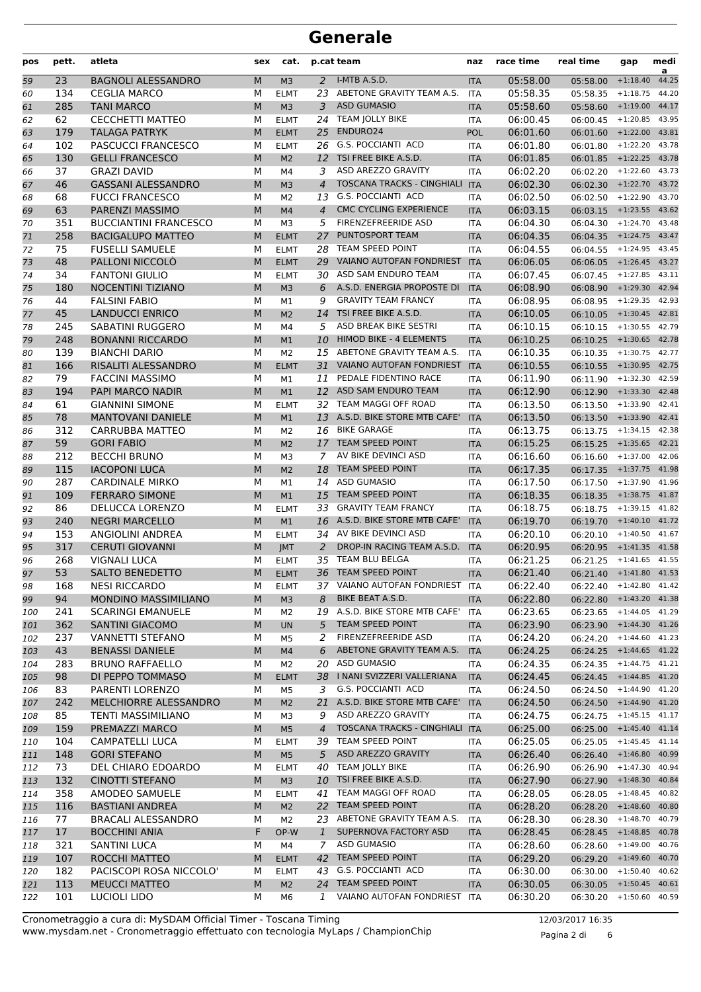| pos        | pett.     | atleta                                             | sex    | cat.                       |                | p.cat team                                                  | naz                      | race time            | real time               | gap                      | medi<br>a      |
|------------|-----------|----------------------------------------------------|--------|----------------------------|----------------|-------------------------------------------------------------|--------------------------|----------------------|-------------------------|--------------------------|----------------|
| 59         | 23        | <b>BAGNOLI ALESSANDRO</b>                          | M      | M <sub>3</sub>             | 2              | I-MTB A.S.D.                                                | <b>ITA</b>               | 05:58.00             | 05:58.00                | $+1:18.40$               | 44.25          |
| 60         | 134       | <b>CEGLIA MARCO</b>                                | M      | <b>ELMT</b>                | 23             | ABETONE GRAVITY TEAM A.S.                                   | <b>ITA</b>               | 05:58.35             | 05:58.35                | $+1:18.75$               | 44.20          |
| 61         | 285       | <b>TANI MARCO</b>                                  | M      | M <sub>3</sub>             | 3              | <b>ASD GUMASIO</b>                                          | <b>ITA</b>               | 05:58.60             | 05:58.60                | $+1:19.00$               | 44.17          |
| 62         | 62        | <b>CECCHETTI MATTEO</b>                            | M      | <b>ELMT</b>                | 24             | <b>TEAM JOLLY BIKE</b>                                      | <b>ITA</b>               | 06:00.45             | 06:00.45                | $+1:20.85$               | 43.95          |
| 63         | 179       | <b>TALAGA PATRYK</b>                               | M      | <b>ELMT</b>                | 25             | ENDURO24                                                    | <b>POL</b>               | 06:01.60             | 06:01.60                | $+1:22.00$               | 43.81          |
| 64         | 102       | PASCUCCI FRANCESCO                                 | M      | <b>ELMT</b>                | 26             | <b>G.S. POCCIANTI ACD</b>                                   | <b>ITA</b>               | 06:01.80             | 06:01.80                | $+1:22.20$               | 43.78          |
| 65         | 130       | <b>GELLI FRANCESCO</b>                             | M      | M <sub>2</sub>             | 12             | TSI FREE BIKE A.S.D.                                        | <b>ITA</b>               | 06:01.85             | 06:01.85                | $+1:22.25$               | 43.78          |
| 66         | 37        | <b>GRAZI DAVID</b>                                 | M      | M4                         | 3              | ASD AREZZO GRAVITY                                          | <b>ITA</b>               | 06:02.20             | 06:02.20                | $+1:22.60$               | 43.73          |
| 67         | 46        | <b>GASSANI ALESSANDRO</b>                          | M      | M <sub>3</sub>             | $\overline{4}$ | <b>TOSCANA TRACKS - CINGHIALI</b>                           | <b>ITA</b>               | 06:02.30             | 06:02.30                | $+1:22.70$               | 43.72          |
| 68         | 68        | <b>FUCCI FRANCESCO</b>                             | M      | M <sub>2</sub>             | 13             | G.S. POCCIANTI ACD                                          | <b>ITA</b>               | 06:02.50             | 06:02.50                | $+1:22.90$               | 43.70          |
| 69         | 63        | PARENZI MASSIMO                                    | M      | M <sub>4</sub>             | $\overline{4}$ | <b>CMC CYCLING EXPERIENCE</b><br><b>FIRENZEFREERIDE ASD</b> | <b>ITA</b>               | 06:03.15             | 06:03.15                | $+1:23.55$               | 43.62          |
| 70         | 351       | <b>BUCCIANTINI FRANCESCO</b>                       | М      | M <sub>3</sub>             | 5              | PUNTOSPORT TEAM                                             | <b>ITA</b>               | 06:04.30             | 06:04.30                | $+1:24.70$               | 43.48<br>43.47 |
| 71         | 258<br>75 | <b>BACIGALUPO MATTEO</b><br><b>FUSELLI SAMUELE</b> | M      | <b>ELMT</b>                | 27             | TEAM SPEED POINT                                            | <b>ITA</b>               | 06:04.35<br>06:04.55 | 06:04.35                | $+1:24.75$               | 43.45          |
| 72         | 48        | PALLONI NICCOLÒ                                    | М<br>M | <b>ELMT</b>                | 28<br>29       | VAIANO AUTOFAN FONDRIEST                                    | <b>ITA</b>               | 06:06.05             | 06:04.55                | $+1:24.95$<br>$+1:26.45$ | 43.27          |
| 73<br>74   | 34        | <b>FANTONI GIULIO</b>                              | M      | <b>ELMT</b><br><b>ELMT</b> | 30             | ASD SAM ENDURO TEAM                                         | <b>ITA</b><br><b>ITA</b> | 06:07.45             | 06:06.05<br>06:07.45    | $+1:27.85$               | 43.11          |
| 75         | 180       | <b>NOCENTINI TIZIANO</b>                           | M      | M <sub>3</sub>             | 6              | A.S.D. ENERGIA PROPOSTE DI                                  | <b>ITA</b>               | 06:08.90             | 06:08.90                | $+1:29.30$               | 42.94          |
| 76         | 44        | <b>FALSINI FABIO</b>                               | M      | M1                         | 9              | <b>GRAVITY TEAM FRANCY</b>                                  | <b>ITA</b>               | 06:08.95             | 06:08.95                | $+1:29.35$               | 42.93          |
| 77         | 45        | <b>LANDUCCI ENRICO</b>                             | M      | M <sub>2</sub>             | 14             | TSI FREE BIKE A.S.D.                                        | <b>ITA</b>               | 06:10.05             | 06:10.05                | $+1:30.45$               | 42.81          |
| 78         | 245       | SABATINI RUGGERO                                   | M      | M4                         | 5              | ASD BREAK BIKE SESTRI                                       | <b>ITA</b>               | 06:10.15             | 06:10.15                | $+1:30.55$               | 42.79          |
| 79         | 248       | <b>BONANNI RICCARDO</b>                            | M      | M <sub>1</sub>             | 10             | <b>HIMOD BIKE - 4 ELEMENTS</b>                              | <b>ITA</b>               | 06:10.25             | 06:10.25                | $+1:30.65$               | 42.78          |
| 80         | 139       | <b>BIANCHI DARIO</b>                               | M      | M <sub>2</sub>             | 15             | ABETONE GRAVITY TEAM A.S.                                   | <b>ITA</b>               | 06:10.35             | 06:10.35                | $+1:30.75$               | 42.77          |
| 81         | 166       | RISALITI ALESSANDRO                                | M      | <b>ELMT</b>                | 31             | VAIANO AUTOFAN FONDRIEST                                    | <b>ITA</b>               | 06:10.55             | 06:10.55                | $+1:30.95$               | 42.75          |
| 82         | 79        | <b>FACCINI MASSIMO</b>                             | M      | M1                         | 11             | PEDALE FIDENTINO RACE                                       | <b>ITA</b>               | 06:11.90             | 06:11.90                | $+1:32.30$               | 42.59          |
| 83         | 194       | PAPI MARCO NADIR                                   | M      | M1                         | 12             | ASD SAM ENDURO TEAM                                         | <b>ITA</b>               | 06:12.90             | 06:12.90                | $+1:33.30$               | 42.48          |
| 84         | 61        | <b>GIANNINI SIMONE</b>                             | M      | <b>ELMT</b>                | 32             | TEAM MAGGI OFF ROAD                                         | <b>ITA</b>               | 06:13.50             | 06:13.50                | $+1:33.90$               | 42.41          |
| 85         | 78        | <b>MANTOVANI DANIELE</b>                           | M      | M <sub>1</sub>             | 13             | A.S.D. BIKE STORE MTB CAFE'                                 | <b>ITA</b>               | 06:13.50             | 06:13.50                | $+1:33.90$               | 42.41          |
| 86         | 312       | <b>CARRUBBA MATTEO</b>                             | M      | M <sub>2</sub>             | 16             | <b>BIKE GARAGE</b>                                          | <b>ITA</b>               | 06:13.75             | 06:13.75                | $+1:34.15$               | 42.38          |
| 87         | 59        | <b>GORI FABIO</b>                                  | M      | M <sub>2</sub>             | 17             | <b>TEAM SPEED POINT</b>                                     | <b>ITA</b>               | 06:15.25             | 06:15.25                | $+1:35.65$               | 42.21          |
| 88         | 212       | <b>BECCHI BRUNO</b>                                | M      | M <sub>3</sub>             | 7              | AV BIKE DEVINCI ASD                                         | <b>ITA</b>               | 06:16.60             | 06:16.60                | $+1:37.00$               | 42.06          |
| 89         | 115       | <b>IACOPONI LUCA</b>                               | M      | M <sub>2</sub>             | 18             | <b>TEAM SPEED POINT</b>                                     | <b>ITA</b>               | 06:17.35             | 06:17.35                | $+1:37.75$               | 41.98          |
| 90         | 287       | <b>CARDINALE MIRKO</b>                             | М      | M1                         | 14             | <b>ASD GUMASIO</b>                                          | <b>ITA</b>               | 06:17.50             | 06:17.50                | $+1:37.90$               | 41.96          |
| 91         | 109       | <b>FERRARO SIMONE</b>                              | M      | M <sub>1</sub>             | 15             | <b>TEAM SPEED POINT</b>                                     | <b>ITA</b>               | 06:18.35             | 06:18.35                | $+1:38.75$               | 41.87          |
| 92         | 86        | <b>DELUCCA LORENZO</b>                             | M      | <b>ELMT</b>                | 33             | <b>GRAVITY TEAM FRANCY</b>                                  | <b>ITA</b>               | 06:18.75             | 06:18.75                | $+1:39.15$               | 41.82          |
| 93         | 240       | <b>NEGRI MARCELLO</b>                              | M      | M1                         | 16             | A.S.D. BIKE STORE MTB CAFE'                                 | <b>ITA</b>               | 06:19.70             | 06:19.70                | $+1:40.10$               | 41.72          |
| 94         | 153       | ANGIOLINI ANDREA                                   | M      | <b>ELMT</b>                | 34             | AV BIKE DEVINCI ASD                                         | <b>ITA</b>               | 06:20.10             | 06:20.10                | $+1:40.50$               | 41.67          |
| 95         | 317       | <b>CERUTI GIOVANNI</b>                             | M      | <b>JMT</b>                 | $\overline{2}$ | DROP-IN RACING TEAM A.S.D.                                  | <b>ITA</b>               | 06:20.95             | 06:20.95                | $+1:41.35$               | 41.58          |
| 96         | 268       | <b>VIGNALI LUCA</b>                                | М      | <b>ELMT</b>                | 35             | TEAM BLU BELGA                                              | ITA                      | 06:21.25             | 06:21.25                | $+1:41.65$               | 41.55          |
| 97         | 53        | <b>SALTO BENEDETTO</b>                             | M      | <b>ELMT</b>                | 36             | TEAM SPEED POINT                                            | <b>ITA</b>               | 06:21.40             | 06:21.40 +1:41.80 41.53 |                          |                |
| 98         | 168       | <b>NESI RICCARDO</b>                               | М      | <b>ELMT</b>                |                | 37 VAIANO AUTOFAN FONDRIEST                                 | ITA                      | 06:22.40             | 06:22.40 +1:42.80 41.42 |                          |                |
| 99         | 94        | MONDINO MASSIMILIANO                               | M      | M <sub>3</sub>             | 8              | BIKE BEAT A.S.D.                                            | <b>ITA</b>               | 06:22.80             | 06:22.80 +1:43.20 41.38 |                          |                |
| 100        | 241       | <b>SCARINGI EMANUELE</b>                           | м      | M <sub>2</sub>             | 19             | A.S.D. BIKE STORE MTB CAFE'                                 | <b>ITA</b>               | 06:23.65             | 06:23.65                | $+1:44.05$ 41.29         |                |
| 101        | 362       | <b>SANTINI GIACOMO</b>                             | M      | <b>UN</b>                  | 5              | TEAM SPEED POINT<br>FIRENZEFREERIDE ASD                     | <b>ITA</b>               | 06:23.90             | 06:23.90 +1:44.30 41.26 | $+1:44.60$ 41.23         |                |
| 102        | 237<br>43 | VANNETTI STEFANO<br><b>BENASSI DANIELE</b>         | М      | M5                         | 2<br>6         | ABETONE GRAVITY TEAM A.S.                                   | ITA                      | 06:24.20             | 06:24.20                | $+1:44.65$ 41.22         |                |
| 103        | 283       | <b>BRUNO RAFFAELLO</b>                             | M<br>М | M4                         | 20             | ASD GUMASIO                                                 | <b>ITA</b><br>ITA        | 06:24.25<br>06:24.35 | 06:24.25                | $+1:44.75$ 41.21         |                |
| 104<br>105 | 98        | DI PEPPO TOMMASO                                   | M      | M2<br><b>ELMT</b>          |                | 38   NANI SVIZZERI VALLERIANA                               | <b>ITA</b>               | 06:24.45             | 06:24.35<br>06:24.45    | $+1:44.85$ 41.20         |                |
| 106        | 83        | PARENTI LORENZO                                    | М      | M <sub>5</sub>             | 3              | G.S. POCCIANTI ACD                                          | ITA                      | 06:24.50             | 06:24.50                | $+1:44.90$               | 41.20          |
| 107        | 242       | MELCHIORRE ALESSANDRO                              | M      | M <sub>2</sub>             | 21             | A.S.D. BIKE STORE MTB CAFE'                                 | <b>ITA</b>               | 06:24.50             | 06:24.50 +1:44.90 41.20 |                          |                |
| 108        | 85        | <b>TENTI MASSIMILIANO</b>                          | М      | M3                         | 9              | ASD AREZZO GRAVITY                                          | ITA                      | 06:24.75             | 06:24.75                | $+1:45.15$ 41.17         |                |
| 109        | 159       | PREMAZZI MARCO                                     | M      | M <sub>5</sub>             | $\overline{4}$ | <b>TOSCANA TRACKS - CINGHIALI</b>                           | <b>ITA</b>               | 06:25.00             | 06:25.00                | $+1:45.40$ 41.14         |                |
| 110        | 104       | <b>CAMPATELLI LUCA</b>                             | М      | <b>ELMT</b>                | 39             | TEAM SPEED POINT                                            | ITA                      | 06:25.05             | 06:25.05                | $+1:45.45$               | 41.14          |
| 111        | 148       | <b>GORI STEFANO</b>                                | M      | M <sub>5</sub>             | 5 <sup>5</sup> | ASD AREZZO GRAVITY                                          | <b>ITA</b>               | 06:26.40             | 06:26.40                | $+1:46.80$ 40.99         |                |
| 112        | 73        | DEL CHIARO EDOARDO                                 | М      | <b>ELMT</b>                | 40             | TEAM JOLLY BIKE                                             | ITA                      | 06:26.90             | 06:26.90                | $+1:47.30$               | 40.94          |
| 113        | 132       | <b>CINOTTI STEFANO</b>                             | M      | M <sub>3</sub>             | 10             | TSI FREE BIKE A.S.D.                                        | <b>ITA</b>               | 06:27.90             | 06:27.90                | +1:48.30 40.84           |                |
| 114        | 358       | AMODEO SAMUELE                                     | М      | <b>ELMT</b>                | 41             | TEAM MAGGI OFF ROAD                                         | ITA                      | 06:28.05             | 06:28.05                | $+1:48.45$               | 40.82          |
| 115        | 116       | <b>BASTIANI ANDREA</b>                             | M      | M <sub>2</sub>             |                | 22 TEAM SPEED POINT                                         | <b>ITA</b>               | 06:28.20             | 06:28.20                | $+1:48.60$ 40.80         |                |
| 116        | 77        | <b>BRACALI ALESSANDRO</b>                          | М      | M2                         |                | 23 ABETONE GRAVITY TEAM A.S.                                | <b>ITA</b>               | 06:28.30             | 06:28.30                | $+1:48.70$               | 40.79          |
| 117        | 17        | <b>BOCCHINI ANIA</b>                               | F      | OP-W                       | $\mathbf{1}$   | SUPERNOVA FACTORY ASD                                       | <b>ITA</b>               | 06:28.45             | 06:28.45                | $+1:48.85$ 40.78         |                |
| 118        | 321       | SANTINI LUCA                                       | М      | M4                         | $\overline{7}$ | <b>ASD GUMASIO</b>                                          | ITA                      | 06:28.60             | 06:28.60                | $+1:49.00$               | 40.76          |
| 119        | 107       | ROCCHI MATTEO                                      | M      | <b>ELMT</b>                |                | 42 TEAM SPEED POINT                                         | <b>ITA</b>               | 06:29.20             | 06:29.20                | $+1:49.60$ 40.70         |                |
| 120        | 182       | PACISCOPI ROSA NICCOLO'                            | М      | <b>ELMT</b>                |                | 43 G.S. POCCIANTI ACD                                       | <b>ITA</b>               | 06:30.00             | 06:30.00                | $+1:50.40$               | 40.62          |
| 121        | 113       | <b>MEUCCI MATTEO</b>                               | M      | M <sub>2</sub>             |                | 24 TEAM SPEED POINT                                         | <b>ITA</b>               | 06:30.05             | 06:30.05                | $+1:50.45$ 40.61         |                |
| 122        | 101       | <b>LUCIOLI LIDO</b>                                | М      | M6                         | 1              | VAIANO AUTOFAN FONDRIEST                                    | ITA                      | 06:30.20             | 06:30.20 +1:50.60 40.59 |                          |                |

www.mysdam.net - Cronometraggio effettuato con tecnologia MyLaps / ChampionChip Cronometraggio a cura di: MySDAM Official Timer - Toscana Timing 12/03/2017 16:35

Pagina 2 di 6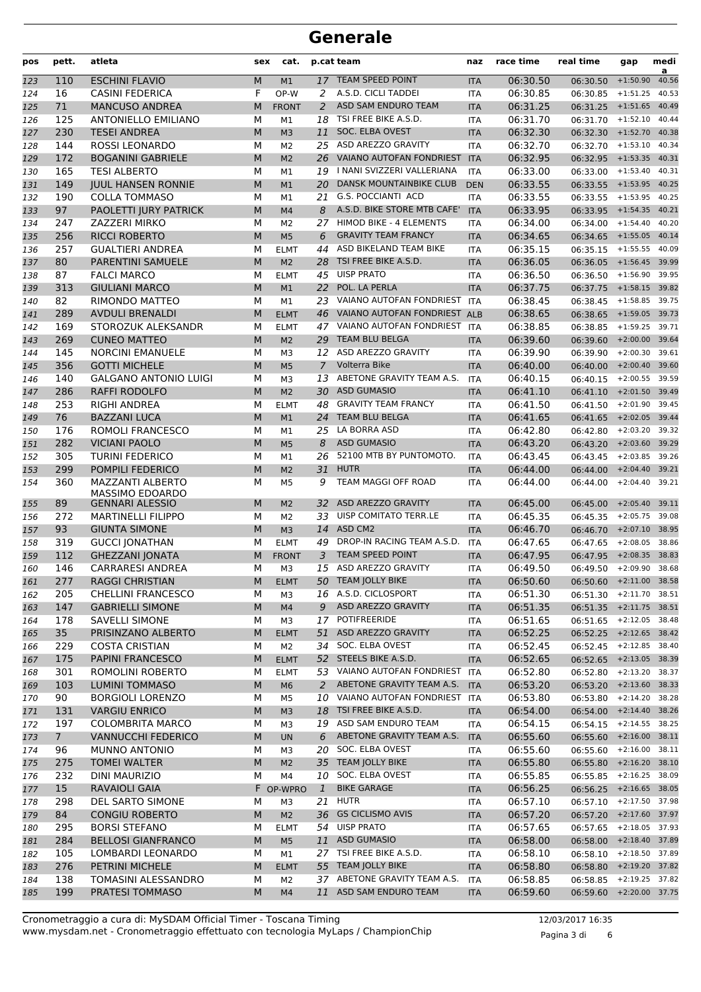| pos | pett.          | atleta                       | sex | cat.           |                | p.cat team                      | naz        | race time | real time                 | gap              | medi<br>a |
|-----|----------------|------------------------------|-----|----------------|----------------|---------------------------------|------------|-----------|---------------------------|------------------|-----------|
| 123 | 110            | <b>ESCHINI FLAVIO</b>        | М   | M1             |                | 17 TEAM SPEED POINT             | <b>ITA</b> | 06:30.50  | 06:30.50                  | $+1:50.90$       | 40.56     |
| 124 | 16             | <b>CASINI FEDERICA</b>       | F   | OP-W           | 2              | A.S.D. CICLI TADDEI             | <b>ITA</b> | 06:30.85  | 06:30.85                  | $+1:51.25$       | 40.53     |
| 125 | 71             | <b>MANCUSO ANDREA</b>        | M   | <b>FRONT</b>   | 2              | ASD SAM ENDURO TEAM             | <b>ITA</b> | 06:31.25  | $06:31.25$ +1:51.65       |                  | 40.49     |
| 126 | 125            | <b>ANTONIELLO EMILIANO</b>   | M   | M1             | 18             | TSI FREE BIKE A.S.D.            | <b>ITA</b> | 06:31.70  | $06:31.70 + 1:52.10$      |                  | 40.44     |
| 127 | 230            | <b>TESEI ANDREA</b>          | M   | M <sub>3</sub> | 11             | SOC. ELBA OVEST                 | <b>ITA</b> | 06:32.30  | $06:32.30 + 1:52.70$      |                  | 40.38     |
| 128 | 144            | ROSSI LEONARDO               | М   | M <sub>2</sub> |                | 25 ASD AREZZO GRAVITY           | <b>ITA</b> | 06:32.70  | $06:32.70$ +1:53.10       |                  | 40.34     |
| 129 | 172            | <b>BOGANINI GABRIELE</b>     | M   | M <sub>2</sub> |                | 26 VAIANO AUTOFAN FONDRIEST     | <b>ITA</b> | 06:32.95  | $06:32.95$ +1:53.35       |                  | 40.31     |
| 130 | 165            | <b>TESI ALBERTO</b>          | М   | M1             | 19             | I NANI SVIZZERI VALLERIANA      | <b>ITA</b> | 06:33.00  | 06:33.00                  | $+1:53.40$       | 40.31     |
| 131 | 149            | <b>JUUL HANSEN RONNIE</b>    | M   | M1             | 20             | <b>DANSK MOUNTAINBIKE CLUB</b>  | <b>DEN</b> | 06:33.55  | 06:33.55                  | $+1:53.95$       | 40.25     |
| 132 | 190            | <b>COLLA TOMMASO</b>         | M   | M1             | 21             | <b>G.S. POCCIANTI ACD</b>       | <b>ITA</b> | 06:33.55  | 06:33.55                  | $+1:53.95$       | 40.25     |
| 133 | 97             | PAOLETTI JURY PATRICK        | M   | M4             | 8              | A.S.D. BIKE STORE MTB CAFE'     | <b>ITA</b> | 06:33.95  | $06:33.95$ +1:54.35       |                  | 40.21     |
| 134 | 247            | ZAZZERI MIRKO                | М   | M <sub>2</sub> | 27             | HIMOD BIKE - 4 ELEMENTS         | <b>ITA</b> | 06:34.00  | 06:34.00                  | $+1:54.40$       | 40.20     |
| 135 | 256            | <b>RICCI ROBERTO</b>         | M   | M <sub>5</sub> | 6              | <b>GRAVITY TEAM FRANCY</b>      | <b>ITA</b> | 06:34.65  | $06:34.65$ +1:55.05       |                  | 40.14     |
| 136 | 257            | <b>GUALTIERI ANDREA</b>      | М   | <b>ELMT</b>    | 44             | ASD BIKELAND TEAM BIKE          | <b>ITA</b> | 06:35.15  | 06:35.15                  | $+1:55.55$       | 40.09     |
| 137 | 80             | PARENTINI SAMUELE            | M   | M <sub>2</sub> | 28             | TSI FREE BIKE A.S.D.            | <b>ITA</b> | 06:36.05  | 06:36.05                  | $+1:56.45$       | 39.99     |
| 138 | 87             | <b>FALCI MARCO</b>           | М   | <b>ELMT</b>    | 45             | <b>UISP PRATO</b>               | <b>ITA</b> | 06:36.50  | 06:36.50                  | $+1:56.90$       | 39.95     |
| 139 | 313            | <b>GIULIANI MARCO</b>        | M   | M1             | 22             | POL. LA PERLA                   | <b>ITA</b> | 06:37.75  | $06:37.75$ +1:58.15       |                  | 39.82     |
| 140 | 82             | RIMONDO MATTEO               | М   | M1             |                | 23 VAIANO AUTOFAN FONDRIEST     | <b>ITA</b> | 06:38.45  | $06:38.45$ +1:58.85       |                  | 39.75     |
| 141 | 289            | <b>AVDULI BRENALDI</b>       | M   | <b>ELMT</b>    |                | 46 VAIANO AUTOFAN FONDRIEST ALB |            | 06:38.65  | $06:38.65$ +1:59.05       |                  | 39.73     |
| 142 | 169            | STOROZUK ALEKSANDR           | М   | <b>ELMT</b>    |                | 47 VAIANO AUTOFAN FONDRIEST     | <b>ITA</b> | 06:38.85  | 06:38.85                  | $+1:59.25$       | 39.71     |
| 143 | 269            | <b>CUNEO MATTEO</b>          | M   | M <sub>2</sub> | 29             | <b>TEAM BLU BELGA</b>           | <b>ITA</b> | 06:39.60  | 06:39.60                  | $+2:00.00$       | 39.64     |
| 144 | 145            | <b>NORCINI EMANUELE</b>      | М   | M <sub>3</sub> | 12             | ASD AREZZO GRAVITY              | <b>ITA</b> | 06:39.90  | 06:39.90                  | $+2:00.30$       | 39.61     |
| 145 | 356            | <b>GOTTI MICHELE</b>         | M   | M <sub>5</sub> | $\overline{7}$ | Volterra Bike                   | <b>ITA</b> | 06:40.00  | 06:40.00                  | $+2:00.40$       | 39.60     |
| 146 | 140            | <b>GALGANO ANTONIO LUIGI</b> | М   | M <sub>3</sub> | 13             | ABETONE GRAVITY TEAM A.S.       | <b>ITA</b> | 06:40.15  | 06:40.15                  | $+2:00.55$       | 39.59     |
| 147 | 286            | <b>RAFFI RODOLFO</b>         | M   | M <sub>2</sub> |                | 30 ASD GUMASIO                  | <b>ITA</b> | 06:41.10  | $06:41.10 + 2:01.50$      |                  | 39.49     |
| 148 | 253            | RIGHI ANDREA                 | М   | <b>ELMT</b>    | 48             | <b>GRAVITY TEAM FRANCY</b>      | <b>ITA</b> | 06:41.50  | 06:41.50                  | $+2:01.90$       | 39.45     |
| 149 | 76             | <b>BAZZANI LUCA</b>          | M   | M1             | 24             | <b>TEAM BLU BELGA</b>           | <b>ITA</b> | 06:41.65  | 06:41.65                  | $+2:02.05$       | 39.44     |
| 150 | 176            | ROMOLI FRANCESCO             | М   | M1             | 25             | LA BORRA ASD                    | <b>ITA</b> | 06:42.80  | 06:42.80                  | $+2:03.20$       | 39.32     |
| 151 | 282            | <b>VICIANI PAOLO</b>         | M   | M <sub>5</sub> | 8              | <b>ASD GUMASIO</b>              | <b>ITA</b> | 06:43.20  | 06:43.20                  | $+2:03.60$       | 39.29     |
| 152 | 305            | <b>TURINI FEDERICO</b>       | М   | M1             | 26             | 52100 MTB BY PUNTOMOTO.         | <b>ITA</b> | 06:43.45  | $06:43.45$ +2:03.85       |                  | 39.26     |
| 153 | 299            | POMPILI FEDERICO             | M   | M <sub>2</sub> | 31             | <b>HUTR</b>                     | <b>ITA</b> | 06:44.00  | $06:44.00 + 2:04.40$      |                  | 39.21     |
| 154 | 360            | <b>MAZZANTI ALBERTO</b>      | М   | M <sub>5</sub> | 9              | TEAM MAGGI OFF ROAD             | <b>ITA</b> | 06:44.00  | 06:44.00                  | $+2:04.40$       | 39.21     |
|     |                | MASSIMO EDOARDO              |     |                |                |                                 |            |           |                           |                  |           |
| 155 | 89             | <b>GENNARI ALESSIO</b>       | М   | M <sub>2</sub> | 32             | ASD AREZZO GRAVITY              | <b>ITA</b> | 06:45.00  | 06:45.00                  | $+2:05.40$       | 39.11     |
| 156 | 272            | <b>MARTINELLI FILIPPO</b>    | М   | M <sub>2</sub> | 33             | UISP COMITATO TERR.LE           | <b>ITA</b> | 06:45.35  | 06:45.35                  | $+2:05.75$       | 39.08     |
| 157 | 93             | <b>GIUNTA SIMONE</b>         | M   | M <sub>3</sub> | 14             | ASD CM2                         | <b>ITA</b> | 06:46.70  | 06:46.70                  | $+2:07.10$       | 38.95     |
| 158 | 319            | <b>GUCCI JONATHAN</b>        | М   | <b>ELMT</b>    | 49             | DROP-IN RACING TEAM A.S.D.      | <b>ITA</b> | 06:47.65  | 06:47.65                  | $+2:08.05$       | 38.86     |
| 159 | 112            | <b>GHEZZANI JONATA</b>       | M   | <b>FRONT</b>   | 3              | <b>TEAM SPEED POINT</b>         | <b>ITA</b> | 06:47.95  | 06:47.95                  | $+2:08.35$       | 38.83     |
| 160 | 146            | <b>CARRARESI ANDREA</b>      | M   | M <sub>3</sub> |                | 15 ASD AREZZO GRAVITY           | <b>ITA</b> | 06:49.50  | 06:49.50 +2:09.90 38.68   |                  |           |
| 161 | 277            | <b>RAGGI CHRISTIAN</b>       |     | M ELMT         |                | 50 TEAM JOLLY BIKE              | <b>ITA</b> | 06:50.60  | 06:50.60 +2:11.00 38.58   |                  |           |
| 162 | 205            | <b>CHELLINI FRANCESCO</b>    | М   | MЗ             |                | 16 A.S.D. CICLOSPORT            | ITA        | 06:51.30  | 06:51.30 +2:11.70 38.51   |                  |           |
| 163 | 147            | <b>GABRIELLI SIMONE</b>      | M   | M <sub>4</sub> | 9              | ASD AREZZO GRAVITY              | <b>ITA</b> | 06:51.35  | 06:51.35 +2:11.75 38.51   |                  |           |
| 164 | 178            | <b>SAVELLI SIMONE</b>        | м   | M3             |                | 17 POTIFREERIDE                 | ITA        | 06:51.65  | 06:51.65 +2:12.05 38.48   |                  |           |
| 165 | 35             | PRISINZANO ALBERTO           | M   | <b>ELMT</b>    | 51             | ASD AREZZO GRAVITY              | <b>ITA</b> | 06:52.25  | 06:52.25 +2:12.65 38.42   |                  |           |
| 166 | 229            | <b>COSTA CRISTIAN</b>        | М   | M2             |                | 34 SOC. ELBA OVEST              | <b>ITA</b> | 06:52.45  | 06:52.45 +2:12.85 38.40   |                  |           |
| 167 | 175            | PAPINI FRANCESCO             | M   | <b>ELMT</b>    |                | 52 STEELS BIKE A.S.D.           | <b>ITA</b> | 06:52.65  | 06:52.65 +2:13.05 38.39   |                  |           |
| 168 | 301            | ROMOLINI ROBERTO             | М   | <b>ELMT</b>    |                | 53 VAIANO AUTOFAN FONDRIEST     | <b>ITA</b> | 06:52.80  | 06:52.80 +2:13.20         |                  | 38.37     |
| 169 | 103            | <b>LUMINI TOMMASO</b>        | M   | M <sub>6</sub> | 2              | ABETONE GRAVITY TEAM A.S.       | <b>ITA</b> | 06:53.20  | 06:53.20 +2:13.60 38.33   |                  |           |
| 170 | 90             | <b>BORGIOLI LORENZO</b>      | М   | M <sub>5</sub> |                | 10 VAIANO AUTOFAN FONDRIEST     | <b>ITA</b> | 06:53.80  | 06:53.80                  | +2:14.20 38.28   |           |
| 171 | 131            | <b>VARGIU ENRICO</b>         | M   | M <sub>3</sub> | 18             | TSI FREE BIKE A.S.D.            | <b>ITA</b> | 06:54.00  | 06:54.00 +2:14.40 38.26   |                  |           |
| 172 | 197            | <b>COLOMBRITA MARCO</b>      | М   | M3             |                | 19 ASD SAM ENDURO TEAM          | <b>ITA</b> | 06:54.15  | 06:54.15 +2:14.55 38.25   |                  |           |
| 173 | 7 <sup>1</sup> | <b>VANNUCCHI FEDERICO</b>    | M   | <b>UN</b>      | 6              | ABETONE GRAVITY TEAM A.S.       | <b>ITA</b> | 06:55.60  | 06:55.60 +2:16.00 38.11   |                  |           |
| 174 | 96             | MUNNO ANTONIO                | М   | MЗ             |                | 20 SOC. ELBA OVEST              | ITA        | 06:55.60  | 06:55.60                  | $+2:16.00$       | 38.11     |
| 175 | 275            | <b>TOMEI WALTER</b>          | M   | M <sub>2</sub> | 35             | <b>TEAM JOLLY BIKE</b>          | <b>ITA</b> | 06:55.80  | 06:55.80                  | $+2:16.20$ 38.10 |           |
| 176 | 232            | <b>DINI MAURIZIO</b>         | М   | M4             |                | 10 SOC. ELBA OVEST              | ITA        | 06:55.85  | 06:55.85                  | $+2:16.25$ 38.09 |           |
| 177 | 15             | <b>RAVAIOLI GAIA</b>         |     | F OP-WPRO      | $\mathbf{1}$   | <b>BIKE GARAGE</b>              | <b>ITA</b> | 06:56.25  | 06:56.25 +2:16.65 38.05   |                  |           |
| 178 | 298            | DEL SARTO SIMONE             | М   | M <sub>3</sub> |                | $21$ HUTR                       | <b>ITA</b> | 06:57.10  | 06:57.10 +2:17.50 37.98   |                  |           |
| 179 | 84             | <b>CONGIU ROBERTO</b>        | M   | M <sub>2</sub> | 36             | <b>GS CICLISMO AVIS</b>         | <b>ITA</b> | 06:57.20  | 06:57.20 +2:17.60 37.97   |                  |           |
| 180 | 295            | <b>BORSI STEFANO</b>         | М   | <b>ELMT</b>    | 54             | <b>UISP PRATO</b>               | ITA        | 06:57.65  | $06:57.65$ +2:18.05 37.93 |                  |           |
| 181 | 284            | <b>BELLOSI GIANFRANCO</b>    | M   | M <sub>5</sub> |                | 11 ASD GUMASIO                  | <b>ITA</b> | 06:58.00  | 06:58.00 +2:18.40 37.89   |                  |           |
| 182 | 105            | LOMBARDI LEONARDO            | М   | M1             |                | 27 TSI FREE BIKE A.S.D.         | ITA        | 06:58.10  | 06:58.10                  | +2:18.50 37.89   |           |
| 183 | 276            | PETRINI MICHELE              | M   | <b>ELMT</b>    |                | 55 TEAM JOLLY BIKE              | <b>ITA</b> | 06:58.80  | 06:58.80 +2:19.20 37.82   |                  |           |
| 184 | 138            | TOMASINI ALESSANDRO          | М   | M <sub>2</sub> |                | 37 ABETONE GRAVITY TEAM A.S.    | ITA        | 06:58.85  | 06:58.85 +2:19.25 37.82   |                  |           |
| 185 | 199            | PRATESI TOMMASO              | M   | M <sub>4</sub> |                | 11 ASD SAM ENDURO TEAM          | <b>ITA</b> | 06:59.60  | 06:59.60 +2:20.00 37.75   |                  |           |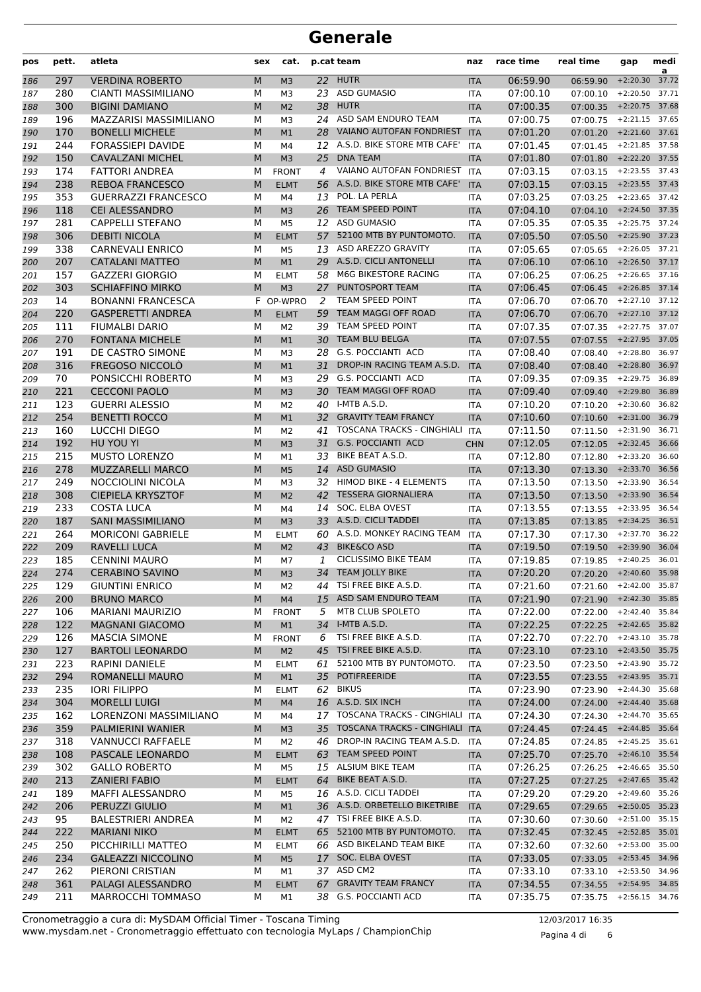| pos        | pett.      | atleta                                            | sex    | cat.                          |          | p.cat team                                | naz                      | race time            | real time                                            | gap              | medi<br>a      |
|------------|------------|---------------------------------------------------|--------|-------------------------------|----------|-------------------------------------------|--------------------------|----------------------|------------------------------------------------------|------------------|----------------|
| 186        | 297        | <b>VERDINA ROBERTO</b>                            | M      | M <sub>3</sub>                |          | 22 HUTR                                   | <b>ITA</b>               | 06:59.90             | 06:59.90                                             | $+2:20.30$       | 37.72          |
| 187        | 280        | <b>CIANTI MASSIMILIANO</b>                        | М      | M3                            |          | 23 ASD GUMASIO                            | <b>ITA</b>               | 07:00.10             | 07:00.10                                             | $+2:20.50$       | 37.71          |
| 188        | 300        | <b>BIGINI DAMIANO</b>                             | M      | M <sub>2</sub>                | 38       | <b>HUTR</b>                               | <b>ITA</b>               | 07:00.35             | 07:00.35                                             | $+2:20.75$       | 37.68          |
| 189        | 196        | <b>MAZZARISI MASSIMILIANO</b>                     | М      | M3                            |          | 24 ASD SAM ENDURO TEAM                    | <b>ITA</b>               | 07:00.75             | 07:00.75                                             | $+2:21.15$       | 37.65          |
| 190        | 170        | <b>BONELLI MICHELE</b>                            | M      | M1                            |          | 28 VAIANO AUTOFAN FONDRIEST               | <b>ITA</b>               | 07:01.20             | 07:01.20                                             | $+2:21.60$       | 37.61          |
| 191        | 244        | <b>FORASSIEPI DAVIDE</b>                          | М      | M4                            |          | 12 A.S.D. BIKE STORE MTB CAFE'            | <b>ITA</b>               | 07:01.45             | 07:01.45                                             | $+2:21.85$       | 37.58          |
| 192        | 150        | <b>CAVALZANI MICHEL</b>                           | M      | M <sub>3</sub>                | 25       | <b>DNA TEAM</b>                           | <b>ITA</b>               | 07:01.80             | 07:01.80                                             | $+2:22.20$       | 37.55          |
| 193        | 174        | <b>FATTORI ANDREA</b>                             | М      | <b>FRONT</b>                  | 4        | VAIANO AUTOFAN FONDRIEST                  | <b>ITA</b>               | 07:03.15             | $07:03.15$ +2:23.55                                  |                  | 37.43          |
| 194        | 238        | <b>REBOA FRANCESCO</b>                            | M      | <b>ELMT</b>                   |          | 56 A.S.D. BIKE STORE MTB CAFE'            | <b>ITA</b>               | 07:03.15             | 07:03.15                                             | $+2:23.55$       | 37.43          |
| 195        | 353        | <b>GUERRAZZI FRANCESCO</b>                        | М      | M4                            | 13       | POL. LA PERLA                             | ITA                      | 07:03.25             | 07:03.25                                             | $+2:23.65$       | 37.42          |
| 196        | 118        | <b>CEI ALESSANDRO</b>                             | M      | M <sub>3</sub>                | 26       | <b>TEAM SPEED POINT</b>                   | <b>ITA</b>               | 07:04.10             | 07:04.10                                             | $+2:24.50$       | 37.35          |
| 197        | 281        | <b>CAPPELLI STEFANO</b>                           | М      | M <sub>5</sub>                |          | 12 ASD GUMASIO<br>52100 MTB BY PUNTOMOTO. | <b>ITA</b>               | 07:05.35             | 07:05.35                                             | $+2:25.75$       | 37.24<br>37.23 |
| 198        | 306        | <b>DEBITI NICOLA</b>                              | M      | <b>ELMT</b>                   | 57       | 13 ASD AREZZO GRAVITY                     | <b>ITA</b>               | 07:05.50             | 07:05.50                                             | $+2:25.90$       |                |
| 199        | 338<br>207 | <b>CARNEVALI ENRICO</b><br><b>CATALANI MATTEO</b> | М<br>M | M <sub>5</sub>                |          | 29 A.S.D. CICLI ANTONELLI                 | <b>ITA</b>               | 07:05.65<br>07:06.10 | 07:05.65<br>$07:06.10$ +2:26.50                      | $+2:26.05$       | 37.21<br>37.17 |
| 200        | 157        | <b>GAZZERI GIORGIO</b>                            | М      | M1                            | 58       | M6G BIKESTORE RACING                      | <b>ITA</b>               | 07:06.25             | 07:06.25                                             | $+2:26.65$       | 37.16          |
| 201<br>202 | 303        | <b>SCHIAFFINO MIRKO</b>                           | M      | <b>ELMT</b><br>M <sub>3</sub> | 27       | PUNTOSPORT TEAM                           | ITA<br><b>ITA</b>        | 07:06.45             | 07:06.45                                             | $+2:26.85$       | 37.14          |
| 203        | 14         | <b>BONANNI FRANCESCA</b>                          |        | F OP-WPRO                     | 2        | TEAM SPEED POINT                          | <b>ITA</b>               | 07:06.70             | 07:06.70                                             | $+2:27.10$       | 37.12          |
| 204        | 220        | <b>GASPERETTI ANDREA</b>                          | M      | <b>ELMT</b>                   | 59       | <b>TEAM MAGGI OFF ROAD</b>                | <b>ITA</b>               | 07:06.70             | 07:06.70                                             | $+2:27.10$       | 37.12          |
| 205        | 111        | <b>FIUMALBI DARIO</b>                             | М      | M <sub>2</sub>                |          | 39 TEAM SPEED POINT                       | <b>ITA</b>               | 07:07.35             | 07:07.35                                             | $+2:27.75$       | 37.07          |
| 206        | 270        | <b>FONTANA MICHELE</b>                            | M      | M1                            | 30       | <b>TEAM BLU BELGA</b>                     | <b>ITA</b>               | 07:07.55             | 07:07.55                                             | $+2:27.95$       | 37.05          |
| 207        | 191        | DE CASTRO SIMONE                                  | М      | M3                            | 28       | <b>G.S. POCCIANTI ACD</b>                 | <b>ITA</b>               | 07:08.40             | 07:08.40                                             | $+2:28.80$       | 36.97          |
| 208        | 316        | FREGOSO NICCOLÒ                                   | M      | M1                            | 31       | DROP-IN RACING TEAM A.S.D.                | <b>ITA</b>               | 07:08.40             | 07:08.40                                             | $+2:28.80$       | 36.97          |
| 209        | 70         | PONSICCHI ROBERTO                                 | М      | M <sub>3</sub>                | 29       | G.S. POCCIANTI ACD                        | <b>ITA</b>               | 07:09.35             | 07:09.35                                             | $+2:29.75$       | 36.89          |
| 210        | 221        | <b>CECCONI PAOLO</b>                              | M      | M <sub>3</sub>                | 30       | TEAM MAGGI OFF ROAD                       | <b>ITA</b>               | 07:09.40             | 07:09.40                                             | $+2:29.80$       | 36.89          |
| 211        | 123        | <b>GUERRI ALESSIO</b>                             | М      | M <sub>2</sub>                |          | 40 I-MTB A.S.D.                           | <b>ITA</b>               | 07:10.20             | 07:10.20                                             | $+2:30.60$       | 36.82          |
| 212        | 254        | <b>BENETTI ROCCO</b>                              | M      | M1                            |          | 32 GRAVITY TEAM FRANCY                    | <b>ITA</b>               | 07:10.60             | $07:10.60$ +2:31.00                                  |                  | 36.79          |
| 213        | 160        | LUCCHI DIEGO                                      | м      | M2                            | 41       | <b>TOSCANA TRACKS - CINGHIALI</b>         | <b>ITA</b>               | 07:11.50             | 07:11.50                                             | $+2:31.90$       | 36.71          |
| 214        | 192        | HU YOU YI                                         | M      | M <sub>3</sub>                | 31       | <b>G.S. POCCIANTI ACD</b>                 | <b>CHN</b>               | 07:12.05             | 07:12.05                                             | $+2:32.45$       | 36.66          |
| 215        | 215        | <b>MUSTO LORENZO</b>                              | М      | M1                            | 33       | BIKE BEAT A.S.D.                          | <b>ITA</b>               | 07:12.80             | 07:12.80                                             | $+2:33.20$       | 36.60          |
| 216        | 278        | MUZZARELLI MARCO                                  | M      | M <sub>5</sub>                | 14       | <b>ASD GUMASIO</b>                        | <b>ITA</b>               | 07:13.30             | 07:13.30                                             | $+2:33.70$       | 36.56          |
| 217        | 249        | NOCCIOLINI NICOLA                                 | М      | M3                            |          | 32 HIMOD BIKE - 4 ELEMENTS                | <b>ITA</b>               | 07:13.50             | 07:13.50                                             | $+2:33.90$       | 36.54          |
| 218        | 308        | <b>CIEPIELA KRYSZTOF</b>                          | M      | M <sub>2</sub>                | 42       | <b>TESSERA GIORNALIERA</b>                | <b>ITA</b>               | 07:13.50             | $07:13.50$ +2:33.90                                  |                  | 36.54          |
| 219        | 233        | <b>COSTA LUCA</b>                                 | М      | M4                            | 14       | SOC. ELBA OVEST                           | ITA                      | 07:13.55             | 07:13.55                                             | $+2:33.95$       | 36.54          |
| 220        | 187        | <b>SANI MASSIMILIANO</b>                          | M      | M <sub>3</sub>                |          | 33 A.S.D. CICLI TADDEI                    | <b>ITA</b>               | 07:13.85             | 07:13.85                                             | $+2:34.25$       | 36.51          |
| 221        | 264        | <b>MORICONI GABRIELE</b>                          | М      | <b>ELMT</b>                   | 60       | A.S.D. MONKEY RACING TEAM                 | <b>ITA</b>               | 07:17.30             | 07:17.30                                             | $+2:37.70$       | 36.22          |
| 222        | 209        | <b>RAVELLI LUCA</b>                               | M      | M <sub>2</sub>                | 43       | <b>BIKE&amp;CO ASD</b>                    | <b>ITA</b>               | 07:19.50             | 07:19.50                                             | $+2:39.90$       | 36.04          |
| 223        | 185        | <b>CENNINI MAURO</b>                              | М      | M7                            | 1        | <b>CICLISSIMO BIKE TEAM</b>               | <b>ITA</b>               | 07:19.85             | 07:19.85                                             | $+2:40.25$       | 36.01          |
| 224        | 274        | <b>CERABINO SAVINO</b>                            | M      | M <sub>3</sub>                |          | 34 TEAM JOLLY BIKE                        | <b>ITA</b>               | 07:20.20             | 07:20.20 +2:40.60 35.98                              |                  |                |
| 225        | 129        | <b>GIUNTINI ENRICO</b>                            | М      | M2                            | 44       | TSI FREE BIKE A.S.D.                      | <b>ITA</b>               | 07:21.60             | 07:21.60 +2:42.00 35.87                              |                  |                |
| 226        | 200        | <b>BRUNO MARCO</b>                                | M      | M <sub>4</sub>                |          | 15 ASD SAM ENDURO TEAM                    | <b>ITA</b>               | 07:21.90             | 07:21.90 +2:42.30 35.85                              |                  |                |
| 227        | 106        | <b>MARIANI MAURIZIO</b>                           | м      | <b>FRONT</b>                  | 5        | MTB CLUB SPOLETO                          | ITA                      | 07:22.00             | 07:22.00 +2:42.40 35.84                              |                  |                |
| 228        | 122        | <b>MAGNANI GIACOMO</b>                            | M      | M1                            |          | 34 I-MTB A.S.D.<br>TSI FREE BIKE A.S.D.   | <b>ITA</b>               | 07:22.25             | 07:22.25 +2:42.65 35.82<br>$07:22.70 +2:43.10$ 35.78 |                  |                |
| 229        | 126        | <b>MASCIA SIMONE</b>                              | М      | <b>FRONT</b>                  | 6        | TSI FREE BIKE A.S.D.                      | ITA                      | 07:22.70             | 07:23.10 +2:43.50 35.75                              |                  |                |
| 230        | 127<br>223 | <b>BARTOLI LEONARDO</b><br><b>RAPINI DANIELE</b>  | M      | M <sub>2</sub>                | 45<br>61 | 52100 MTB BY PUNTOMOTO.                   | <b>ITA</b>               | 07:23.10<br>07:23.50 |                                                      | $+2:43.90$       | 35.72          |
| 231<br>232 | 294        | ROMANELLI MAURO                                   | М<br>M | <b>ELMT</b><br>M1             |          | 35 POTIFREERIDE                           | <b>ITA</b><br><b>ITA</b> | 07:23.55             | 07:23.50<br>07:23.55 +2:43.95 35.71                  |                  |                |
| 233        | 235        | <b>IORI FILIPPO</b>                               | м      | <b>ELMT</b>                   |          | 62 BIKUS                                  | ITA                      | 07:23.90             | 07:23.90                                             | +2:44.30 35.68   |                |
| 234        | 304        | <b>MORELLI LUIGI</b>                              | M      | M4                            |          | 16 A.S.D. SIX INCH                        | <b>ITA</b>               | 07:24.00             | $07:24.00 + 2:44.40$                                 |                  | 35.68          |
| 235        | 162        | LORENZONI MASSIMILIANO                            | М      | M4                            |          | 17 TOSCANA TRACKS - CINGHIALI ITA         |                          | 07:24.30             | $07:24.30 +2:44.70$ 35.65                            |                  |                |
| 236        | 359        | <b>PALMIERINI WANIER</b>                          | M      | M <sub>3</sub>                | 35       | <b>TOSCANA TRACKS - CINGHIALI</b>         | <b>ITA</b>               | 07:24.45             | 07:24.45 +2:44.85 35.64                              |                  |                |
| 237        | 318        | <b>VANNUCCI RAFFAELE</b>                          | М      | M2                            | 46       | DROP-IN RACING TEAM A.S.D.                | ITA                      | 07:24.85             | 07:24.85                                             | $+2:45.25$       | 35.61          |
| 238        | 108        | PASCALE LEONARDO                                  | M      | <b>ELMT</b>                   |          | 63 TEAM SPEED POINT                       | <b>ITA</b>               | 07:25.70             | 07:25.70                                             | $+2:46.10$ 35.54 |                |
| 239        | 302        | <b>GALLO ROBERTO</b>                              | М      | M5                            |          | 15 ALSIUM BIKE TEAM                       | ITA                      | 07:26.25             | 07:26.25                                             | $+2:46.65$ 35.50 |                |
| 240        | 213        | <b>ZANIERI FABIO</b>                              | M      | <b>ELMT</b>                   | 64       | BIKE BEAT A.S.D.                          | <b>ITA</b>               | 07:27.25             | 07:27.25 +2:47.65 35.42                              |                  |                |
| 241        | 189        | MAFFI ALESSANDRO                                  | М      | M5                            |          | 16 A.S.D. CICLI TADDEI                    | <b>ITA</b>               | 07:29.20             | 07:29.20                                             | +2:49.60 35.26   |                |
| 242        | 206        | PERUZZI GIULIO                                    | M      | M1                            |          | 36 A.S.D. ORBETELLO BIKETRIBE             | <b>ITA</b>               | 07:29.65             | 07:29.65 +2:50.05 35.23                              |                  |                |
| 243        | 95         | <b>BALESTRIERI ANDREA</b>                         | м      | M2                            | 47       | TSI FREE BIKE A.S.D.                      | ITA                      | 07:30.60             | 07:30.60                                             | $+2:51.00$       | 35.15          |
| 244        | 222        | <b>MARIANI NIKO</b>                               | M      | <b>ELMT</b>                   |          | 65 52100 MTB BY PUNTOMOTO.                | <b>ITA</b>               | 07:32.45             | 07:32.45                                             | $+2:52.85$ 35.01 |                |
| 245        | 250        | PICCHIRILLI MATTEO                                | м      | <b>ELMT</b>                   |          | 66 ASD BIKELAND TEAM BIKE                 | ITA                      | 07:32.60             | 07:32.60                                             | +2:53.00 35.00   |                |
| 246        | 234        | <b>GALEAZZI NICCOLINO</b>                         | M      | M <sub>5</sub>                |          | 17 SOC. ELBA OVEST                        | <b>ITA</b>               | 07:33.05             | 07:33.05 +2:53.45 34.96                              |                  |                |
| 247        | 262        | PIERONI CRISTIAN                                  | М      | M1                            |          | 37 ASD CM2                                | <b>ITA</b>               | 07:33.10             | 07:33.10 +2:53.50 34.96                              |                  |                |
| 248        | 361        | PALAGI ALESSANDRO                                 | M      | <b>ELMT</b>                   |          | 67 GRAVITY TEAM FRANCY                    | <b>ITA</b>               | 07:34.55             | 07:34.55 +2:54.95 34.85                              |                  |                |
| 249        | 211        | MARROCCHI TOMMASO                                 | м      | M1                            |          | 38 G.S. POCCIANTI ACD                     | ITA                      | 07:35.75             | 07:35.75 +2:56.15 34.76                              |                  |                |

www.mysdam.net - Cronometraggio effettuato con tecnologia MyLaps / ChampionChip Cronometraggio a cura di: MySDAM Official Timer - Toscana Timing 12/03/2017 16:35

Pagina 4 di 6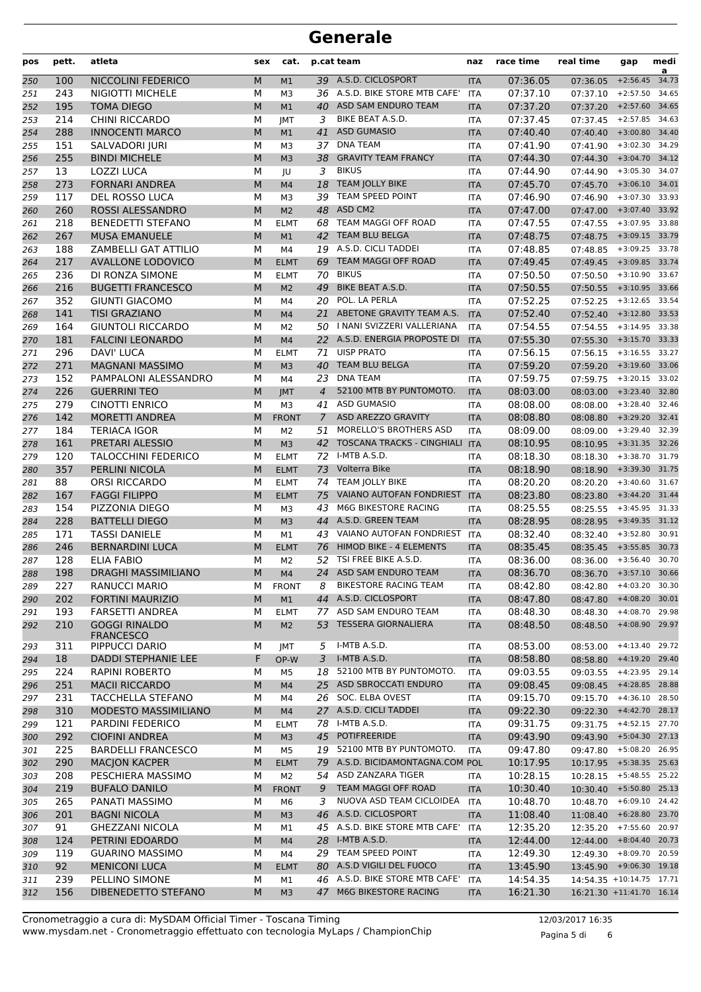| pos | pett. | atleta                      | sex | cat.           |                | p.cat team                     | naz        | race time | real time                  | gap            | medi<br>a |
|-----|-------|-----------------------------|-----|----------------|----------------|--------------------------------|------------|-----------|----------------------------|----------------|-----------|
| 250 | 100   | NICCOLINI FEDERICO          | M   | M1             |                | 39 A.S.D. CICLOSPORT           | <b>ITA</b> | 07:36.05  | 07:36.05                   | $+2:56.45$     | 34.73     |
| 251 | 243   | NIGIOTTI MICHELE            | М   | M3             |                | 36 A.S.D. BIKE STORE MTB CAFE' | <b>ITA</b> | 07:37.10  | 07:37.10                   | $+2:57.50$     | 34.65     |
| 252 | 195   | <b>TOMA DIEGO</b>           | M   | M1             | 40             | ASD SAM ENDURO TEAM            | <b>ITA</b> | 07:37.20  | 07:37.20                   | $+2:57.60$     | 34.65     |
| 253 | 214   | <b>CHINI RICCARDO</b>       | М   | JMT            | 3              | BIKE BEAT A.S.D.               | <b>ITA</b> | 07:37.45  | 07:37.45                   | $+2:57.85$     | 34.63     |
| 254 | 288   | <b>INNOCENTI MARCO</b>      | M   | M1             | 41             | <b>ASD GUMASIO</b>             | <b>ITA</b> | 07:40.40  | 07:40.40                   | $+3:00.80$     | 34.40     |
| 255 | 151   | SALVADORI JURI              | М   | M3             | 37             | <b>DNA TEAM</b>                | <b>ITA</b> | 07:41.90  | 07:41.90                   | $+3:02.30$     | 34.29     |
| 256 | 255   | <b>BINDI MICHELE</b>        | M   | M <sub>3</sub> | 38             | <b>GRAVITY TEAM FRANCY</b>     | <b>ITA</b> | 07:44.30  | 07:44.30                   | $+3:04.70$     | 34.12     |
| 257 | 13    | <b>LOZZI LUCA</b>           | М   | JU             | 3              | <b>BIKUS</b>                   | <b>ITA</b> | 07:44.90  | 07:44.90                   | $+3:05.30$     | 34.07     |
| 258 | 273   | <b>FORNARI ANDREA</b>       | M   | M4             | 18             | <b>TEAM JOLLY BIKE</b>         | <b>ITA</b> | 07:45.70  | 07:45.70                   | $+3:06.10$     | 34.01     |
| 259 | 117   | DEL ROSSO LUCA              | M   | M <sub>3</sub> | 39             | TEAM SPEED POINT               | <b>ITA</b> | 07:46.90  | 07:46.90                   | $+3:07.30$     | 33.93     |
| 260 | 260   | ROSSI ALESSANDRO            | M   | M <sub>2</sub> | 48             | ASD CM2                        | <b>ITA</b> | 07:47.00  | 07:47.00                   | $+3:07.40$     | 33.92     |
| 261 | 218   | <b>BENEDETTI STEFANO</b>    | M   | <b>ELMT</b>    | 68             | TEAM MAGGI OFF ROAD            | <b>ITA</b> | 07:47.55  | 07:47.55                   | $+3:07.95$     | 33.88     |
| 262 | 267   | <b>MUSA EMANUELE</b>        | M   | M1             | 42             | TEAM BLU BELGA                 | <b>ITA</b> | 07:48.75  | 07:48.75                   | $+3:09.15$     | 33.79     |
| 263 | 188   | <b>ZAMBELLI GAT ATTILIO</b> | М   | M4             |                | 19 A.S.D. CICLI TADDEI         | <b>ITA</b> | 07:48.85  | 07:48.85                   | $+3:09.25$     | 33.78     |
| 264 | 217   | <b>AVALLONE LODOVICO</b>    | M   | <b>ELMT</b>    | 69             | <b>TEAM MAGGI OFF ROAD</b>     | <b>ITA</b> | 07:49.45  | 07:49.45                   | $+3:09.85$     | 33.74     |
| 265 | 236   | DI RONZA SIMONE             | M   | <b>ELMT</b>    | 70             | <b>BIKUS</b>                   | <b>ITA</b> | 07:50.50  | 07:50.50                   | $+3:10.90$     | 33.67     |
| 266 | 216   | <b>BUGETTI FRANCESCO</b>    | M   | M <sub>2</sub> | 49             | <b>BIKE BEAT A.S.D.</b>        | <b>ITA</b> | 07:50.55  | 07:50.55                   | $+3:10.95$     | 33.66     |
| 267 | 352   | <b>GIUNTI GIACOMO</b>       | М   | M4             | 20             | POL. LA PERLA                  | <b>ITA</b> | 07:52.25  | 07:52.25                   | $+3:12.65$     | 33.54     |
| 268 | 141   | <b>TISI GRAZIANO</b>        | M   | M <sub>4</sub> | 21             | ABETONE GRAVITY TEAM A.S.      | <b>ITA</b> | 07:52.40  | $07:52.40$ +3:12.80        |                | 33.53     |
| 269 | 164   | <b>GIUNTOLI RICCARDO</b>    | М   | M <sub>2</sub> |                | 50   NANI SVIZZERI VALLERIANA  | <b>ITA</b> | 07:54.55  | 07:54.55                   | $+3:14.95$     | 33.38     |
| 270 | 181   | <b>FALCINI LEONARDO</b>     | M   | M <sub>4</sub> |                | 22 A.S.D. ENERGIA PROPOSTE DI  | <b>ITA</b> | 07:55.30  | 07:55.30                   | $+3:15.70$     | 33.33     |
| 271 | 296   | <b>DAVI' LUCA</b>           | M   | <b>ELMT</b>    | 71             | <b>UISP PRATO</b>              | <b>ITA</b> | 07:56.15  | 07:56.15                   | $+3:16.55$     | 33.27     |
| 272 | 271   | <b>MAGNANI MASSIMO</b>      | M   | M <sub>3</sub> | 40             | <b>TEAM BLU BELGA</b>          | <b>ITA</b> | 07:59.20  | 07:59.20                   | $+3:19.60$     | 33.06     |
| 273 | 152   | PAMPALONI ALESSANDRO        | М   | M4             | 23             | <b>DNA TEAM</b>                | <b>ITA</b> | 07:59.75  | 07:59.75                   | $+3:20.15$     | 33.02     |
| 274 | 226   | <b>GUERRINI TEO</b>         | M   | <b>JMT</b>     | $\overline{4}$ | 52100 MTB BY PUNTOMOTO.        | <b>ITA</b> | 08:03.00  | 08:03.00                   | $+3:23.40$     | 32.80     |
| 275 | 279   | <b>CINOTTI ENRICO</b>       | М   | M <sub>3</sub> | 41             | <b>ASD GUMASIO</b>             | <b>ITA</b> | 08:08.00  | 08:08.00                   | $+3:28.40$     | 32.46     |
| 276 | 142   | <b>MORETTI ANDREA</b>       | M   | <b>FRONT</b>   | $\mathcal{I}$  | ASD AREZZO GRAVITY             | <b>ITA</b> | 08:08.80  | 08:08.80                   | $+3:29.20$     | 32.41     |
| 277 | 184   | <b>TERIACA IGOR</b>         | M   | M <sub>2</sub> | 51             | MORELLO'S BROTHERS ASD         | <b>ITA</b> | 08:09.00  | 08:09.00                   | $+3:29.40$     | 32.39     |
| 278 | 161   | PRETARI ALESSIO             | M   | M <sub>3</sub> |                | 42 TOSCANA TRACKS - CINGHIALI  | <b>ITA</b> | 08:10.95  | 08:10.95                   | $+3:31.35$     | 32.26     |
| 279 | 120   | <b>TALOCCHINI FEDERICO</b>  | М   | <b>ELMT</b>    | 72             | I-MTB A.S.D.                   | <b>ITA</b> | 08:18.30  | 08:18.30                   | $+3:38.70$     | 31.79     |
| 280 | 357   | PERLINI NICOLA              | M   | <b>ELMT</b>    | 73             | Volterra Bike                  | <b>ITA</b> | 08:18.90  | 08:18.90                   | $+3:39.30$     | 31.75     |
| 281 | 88    | ORSI RICCARDO               | М   | <b>ELMT</b>    |                | 74 TEAM JOLLY BIKE             | <b>ITA</b> | 08:20.20  | 08:20.20                   | $+3:40.60$     | 31.67     |
| 282 | 167   | <b>FAGGI FILIPPO</b>        | M   | <b>ELMT</b>    | 75             | VAIANO AUTOFAN FONDRIEST       | <b>ITA</b> | 08:23.80  | 08:23.80                   | $+3:44.20$     | 31.44     |
| 283 | 154   | PIZZONIA DIEGO              | M   | M3             | 43             | M6G BIKESTORE RACING           | <b>ITA</b> | 08:25.55  | 08:25.55                   | $+3:45.95$     | 31.33     |
| 284 | 228   | <b>BATTELLI DIEGO</b>       | M   | M <sub>3</sub> | 44             | A.S.D. GREEN TEAM              | <b>ITA</b> | 08:28.95  | 08:28.95                   | $+3:49.35$     | 31.12     |
| 285 | 171   | <b>TASSI DANIELE</b>        | М   | M1             |                | 43 VAIANO AUTOFAN FONDRIEST    | <b>ITA</b> | 08:32.40  | 08:32.40                   | $+3:52.80$     | 30.91     |
| 286 | 246   | <b>BERNARDINI LUCA</b>      | M   | <b>ELMT</b>    | 76             | HIMOD BIKE - 4 ELEMENTS        | <b>ITA</b> | 08:35.45  | 08:35.45                   | $+3:55.85$     | 30.73     |
| 287 | 128   | <b>ELIA FABIO</b>           | М   | M <sub>2</sub> | 52             | TSI FREE BIKE A.S.D.           | <b>ITA</b> | 08:36.00  | 08:36.00                   | $+3:56.40$     | 30.70     |
| 288 | 198   | <b>DRAGHI MASSIMILIANO</b>  | M   | M <sub>4</sub> | 24             | ASD SAM ENDURO TEAM            | <b>ITA</b> | 08:36.70  | 08:36.70 +3:57.10 30.66    |                |           |
| 289 | 227   | RANUCCI MARIO               | м   | <b>FRONT</b>   | 8              | <b>BIKESTORE RACING TEAM</b>   | ITA        | 08:42.80  | 08:42.80 +4:03.20 30.30    |                |           |
| 290 | 202   | <b>FORTINI MAURIZIO</b>     | M   | M1             |                | 44 A.S.D. CICLOSPORT           | <b>ITA</b> | 08:47.80  | 08:47.80 +4:08.20 30.01    |                |           |
| 291 | 193   | <b>FARSETTI ANDREA</b>      | М   | <b>ELMT</b>    |                | 77 ASD SAM ENDURO TEAM         | <b>ITA</b> | 08:48.30  | 08:48.30 +4:08.70 29.98    |                |           |
| 292 | 210   | <b>GOGGI RINALDO</b>        | M   | M <sub>2</sub> |                | 53 TESSERA GIORNALIERA         | <b>ITA</b> | 08:48.50  | 08:48.50 +4:08.90 29.97    |                |           |
|     |       | <b>FRANCESCO</b>            |     |                |                |                                |            |           |                            |                |           |
| 293 | 311   | PIPPUCCI DARIO              | м   | JMT            | 5              | I-MTB A.S.D.                   | <b>ITA</b> | 08:53.00  | 08:53.00 +4:13.40 29.72    |                |           |
| 294 | 18    | <b>DADDI STEPHANIE LEE</b>  | F   | OP-W           |                | 3 I-MTB A.S.D.                 | <b>ITA</b> | 08:58.80  | 08:58.80 +4:19.20          |                | 29.40     |
| 295 | 224   | <b>RAPINI ROBERTO</b>       | м   | M5             |                | 18 52100 MTB BY PUNTOMOTO.     | <b>ITA</b> | 09:03.55  | 09:03.55 +4:23.95 29.14    |                |           |
| 296 | 251   | <b>MACII RICCARDO</b>       | M   | M4             |                | 25 ASD SBROCCATI ENDURO        | <b>ITA</b> | 09:08.45  | 09:08.45 +4:28.85          |                | 28.88     |
| 297 | 231   | TACCHELLA STEFANO           | М   | M4             |                | 26 SOC. ELBA OVEST             | <b>ITA</b> | 09:15.70  | 09:15.70                   | +4:36.10 28.50 |           |
| 298 | 310   | MODESTO MASSIMILIANO        | M   | M <sub>4</sub> |                | 27 A.S.D. CICLI TADDEI         | <b>ITA</b> | 09:22.30  | 09:22.30 +4:42.70 28.17    |                |           |
| 299 | 121   | PARDINI FEDERICO            | М   | <b>ELMT</b>    |                | 78 I-MTB A.S.D.                | <b>ITA</b> | 09:31.75  | 09:31.75 +4:52.15 27.70    |                |           |
| 300 | 292   | <b>CIOFINI ANDREA</b>       | M   | M <sub>3</sub> |                | 45 POTIFREERIDE                | <b>ITA</b> | 09:43.90  | 09:43.90 +5:04.30          |                | 27.13     |
| 301 | 225   | <b>BARDELLI FRANCESCO</b>   | м   | M <sub>5</sub> |                | 19 52100 MTB BY PUNTOMOTO.     | <b>ITA</b> | 09:47.80  | 09:47.80                   | $+5:08.20$     | 26.95     |
| 302 | 290   | <b>MACJON KACPER</b>        | M   | <b>ELMT</b>    | 79             | A.S.D. BICIDAMONTAGNA.COM POL  |            | 10:17.95  | 10:17.95 +5:38.35 25.63    |                |           |
| 303 | 208   | PESCHIERA MASSIMO           | М   | M <sub>2</sub> |                | 54 ASD ZANZARA TIGER           | ITA        | 10:28.15  | 10:28.15                   | +5:48.55 25.22 |           |
| 304 | 219   | <b>BUFALO DANILO</b>        | M   | <b>FRONT</b>   | 9              | TEAM MAGGI OFF ROAD            | <b>ITA</b> | 10:30.40  | 10:30.40 +5:50.80 25.13    |                |           |
| 305 | 265   | PANATI MASSIMO              | М   | M6             | 3              | NUOVA ASD TEAM CICLOIDEA       | ITA        | 10:48.70  | $10:48.70 + 6:09.10$ 24.42 |                |           |
| 306 | 201   | <b>BAGNI NICOLA</b>         | M   | M <sub>3</sub> |                | 46 A.S.D. CICLOSPORT           | <b>ITA</b> | 11:08.40  | $11:08.40 + 6:28.80$       |                | 23.70     |
| 307 | 91    | <b>GHEZZANI NICOLA</b>      | м   | M1             |                | 45 A.S.D. BIKE STORE MTB CAFE' | <b>ITA</b> | 12:35.20  | 12:35.20 +7:55.60          |                | 20.97     |
| 308 | 124   | PETRINI EDOARDO             | M   | M4             |                | 28 I-MTB A.S.D.                | <b>ITA</b> | 12:44.00  | 12:44.00 +8:04.40 20.73    |                |           |
| 309 | 119   | <b>GUARINO MASSIMO</b>      | м   | M4             |                | 29 TEAM SPEED POINT            | <b>ITA</b> | 12:49.30  | 12:49.30                   | +8:09.70 20.59 |           |
| 310 | 92    | <b>MENICONI LUCA</b>        | M   | <b>ELMT</b>    |                | 80 A.S.D VIGILI DEL FUOCO      | <b>ITA</b> | 13:45.90  | 13:45.90 +9:06.30 19.18    |                |           |
| 311 | 239   | PELLINO SIMONE              | М   | M1             |                | 46 A.S.D. BIKE STORE MTB CAFE' | <b>ITA</b> | 14:54.35  | 14:54.35 +10:14.75 17.71   |                |           |
| 312 | 156   | DIBENEDETTO STEFANO         | M   | M <sub>3</sub> |                | 47 M6G BIKESTORE RACING        | <b>ITA</b> | 16:21.30  | 16:21.30 +11:41.70 16.14   |                |           |

Pagina 5 di 6